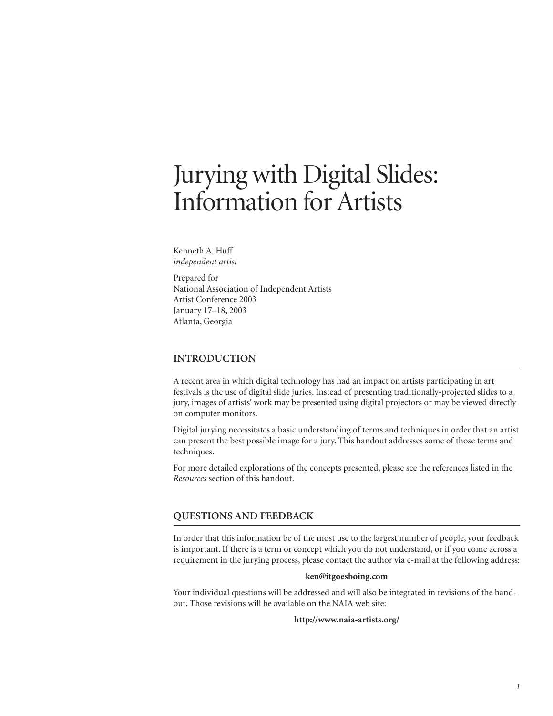# Jurying with Digital Slides: Information for Artists

Kenneth A. Huff *independent artist*

Prepared for National Association of Independent Artists Artist Conference 2003 January 17–18, 2003 Atlanta, Georgia

# **INTRODUCTION**

A recent area in which digital technology has had an impact on artists participating in art festivals is the use of digital slide juries. Instead of presenting traditionally-projected slides to a jury, images of artists' work may be presented using digital projectors or may be viewed directly on computer monitors.

Digital jurying necessitates a basic understanding of terms and techniques in order that an artist can present the best possible image for a jury. This handout addresses some of those terms and techniques.

For more detailed explorations of the concepts presented, please see the references listed in the *Resources* section of this handout.

## **QUESTIONS AND FEEDBACK**

In order that this information be of the most use to the largest number of people, your feedback is important. If there is a term or concept which you do not understand, or if you come across a requirement in the jurying process, please contact the author via e-mail at the following address:

#### **ken@itgoesboing.com**

Your individual questions will be addressed and will also be integrated in revisions of the handout. Those revisions will be available on the NAIA web site:

#### **http://www.naia-artists.org/**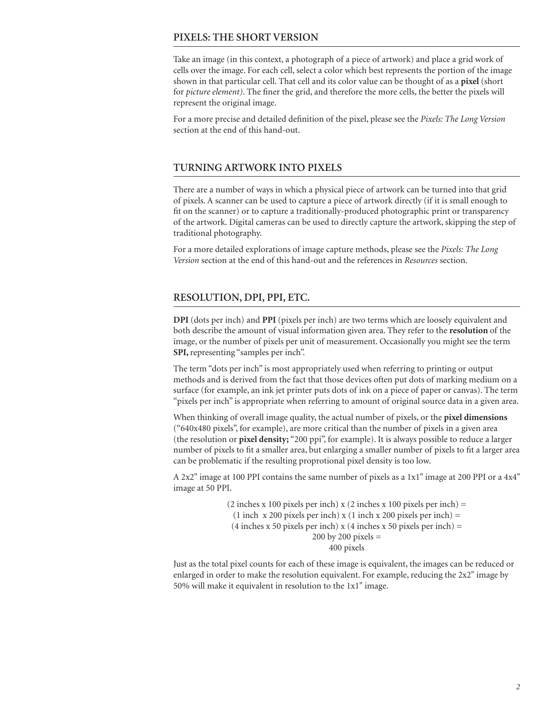# **PIXELS: THE SHORT VERSION**

Take an image (in this context, a photograph of a piece of artwork) and place a grid work of cells over the image. For each cell, select a color which best represents the portion of the image shown in that particular cell. That cell and its color value can be thought of as a **pixel** (short for *picture element)*. The finer the grid, and therefore the more cells, the better the pixels will represent the original image.

For a more precise and detailed definition of the pixel, please see the *Pixels: The Long Version*  section at the end of this hand-out.

# **TURNING ARTWORK INTO PIXELS**

There are a number of ways in which a physical piece of artwork can be turned into that grid of pixels. A scanner can be used to capture a piece of artwork directly (if it is small enough to fit on the scanner) or to capture a traditionally-produced photographic print or transparency of the artwork. Digital cameras can be used to directly capture the artwork, skipping the step of traditional photography.

For a more detailed explorations of image capture methods, please see the *Pixels: The Long Version* section at the end of this hand-out and the references in *Resources* section.

# **RESOLUTION, DPI, PPI, ETC.**

**DPI** (dots per inch) and **PPI** (pixels per inch) are two terms which are loosely equivalent and both describe the amount of visual information given area. They refer to the **resolution** of the image, or the number of pixels per unit of measurement. Occasionally you might see the term **SPI,** representing "samples per inch".

The term "dots per inch" is most appropriately used when referring to printing or output methods and is derived from the fact that those devices often put dots of marking medium on a surface (for example, an ink jet printer puts dots of ink on a piece of paper or canvas). The term "pixels per inch" is appropriate when referring to amount of original source data in a given area.

When thinking of overall image quality, the actual number of pixels, or the **pixel dimensions**  ("640x480 pixels", for example), are more critical than the number of pixels in a given area (the resolution or **pixel density;** "200 ppi", for example). It is always possible to reduce a larger number of pixels to fit a smaller area, but enlarging a smaller number of pixels to fit a larger area can be problematic if the resulting proprotional pixel density is too low.

A 2x2" image at 100 PPI contains the same number of pixels as a 1x1" image at 200 PPI or a 4x4" image at 50 PPI.

> (2 inches x 100 pixels per inch) x (2 inches x 100 pixels per inch)  $=$ (1 inch x 200 pixels per inch) x (1 inch x 200 pixels per inch)  $=$  $(4$  inches x 50 pixels per inch) x  $(4$  inches x 50 pixels per inch) =  $200$  by  $200$  pixels  $=$ 400 pixels

Just as the total pixel counts for each of these image is equivalent, the images can be reduced or enlarged in order to make the resolution equivalent. For example, reducing the 2x2" image by 50% will make it equivalent in resolution to the 1x1" image.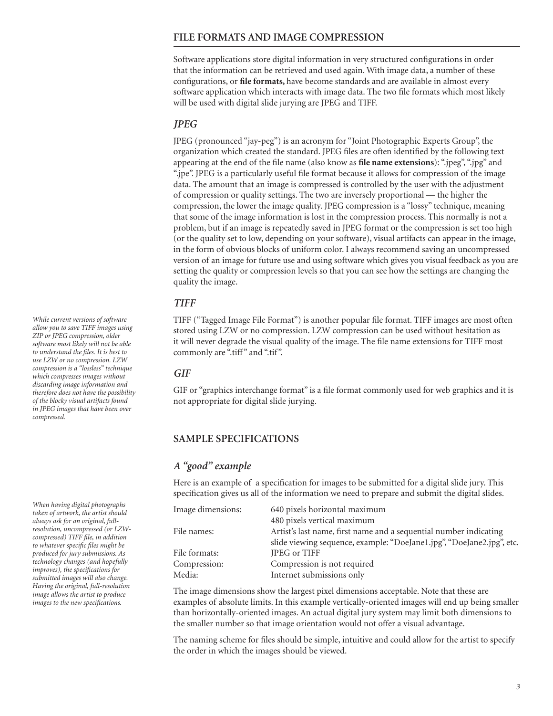# **FILE FORMATS AND IMAGE COMPRESSION**

Software applications store digital information in very structured configurations in order that the information can be retrieved and used again. With image data, a number of these configurations, or **file formats,** have become standards and are available in almost every software application which interacts with image data. The two file formats which most likely will be used with digital slide jurying are JPEG and TIFF.

# *JPEG*

JPEG (pronounced "jay-peg") is an acronym for "Joint Photographic Experts Group", the organization which created the standard. JPEG files are often identified by the following text appearing at the end of the file name (also know as **file name extensions**): ".jpeg", ".jpg" and ".jpe". JPEG is a particularly useful file format because it allows for compression of the image data. The amount that an image is compressed is controlled by the user with the adjustment of compression or quality settings. The two are inversely proportional — the higher the compression, the lower the image quality. JPEG compression is a "lossy" technique, meaning that some of the image information is lost in the compression process. This normally is not a problem, but if an image is repeatedly saved in JPEG format or the compression is set too high (or the quality set to low, depending on your software), visual artifacts can appear in the image, in the form of obvious blocks of uniform color. I always recommend saving an uncompressed version of an image for future use and using software which gives you visual feedback as you are setting the quality or compression levels so that you can see how the settings are changing the quality the image.

## *TIFF*

TIFF ("Tagged Image File Format") is another popular file format. TIFF images are most often stored using LZW or no compression. LZW compression can be used without hesitation as it will never degrade the visual quality of the image. The file name extensions for TIFF most commonly are ".tiff" and ".tif".

## *GIF*

GIF or "graphics interchange format" is a file format commonly used for web graphics and it is not appropriate for digital slide jurying.

# **SAMPLE SPECIFICATIONS**

# *A "good" example*

Here is an example of a specification for images to be submitted for a digital slide jury. This specification gives us all of the information we need to prepare and submit the digital slides.

| Image dimensions: | 640 pixels horizontal maximum                                         |
|-------------------|-----------------------------------------------------------------------|
|                   | 480 pixels vertical maximum                                           |
| File names:       | Artist's last name, first name and a sequential number indicating     |
|                   | slide viewing sequence, example: "DoeJane1.jpg", "DoeJane2.jpg", etc. |
| File formats:     | JPEG or TIFF                                                          |
| Compression:      | Compression is not required                                           |
| Media:            | Internet submissions only                                             |

The image dimensions show the largest pixel dimensions acceptable. Note that these are examples of absolute limits. In this example vertically-oriented images will end up being smaller than horizontally-oriented images. An actual digital jury system may limit both dimensions to the smaller number so that image orientation would not offer a visual advantage.

The naming scheme for files should be simple, intuitive and could allow for the artist to specify the order in which the images should be viewed.

*While current versions of software allow you to save TIFF images using ZIP or JPEG compression, older software most likely will not be able to understand the files. It is best to use LZW or no compression. LZW compression is a "lossless" technique which compresses images without discarding image information and therefore does not have the possibility of the blocky visual artifacts found in JPEG images that have been over compressed.*

*When having digital photographs taken of artwork, the artist should always ask for an original, fullresolution, uncompressed (or LZWcompressed) TIFF file, in addition to whatever specific files might be produced for jury submissions. As technology changes (and hopefully improves), the specifications for submitted images will also change. Having the original, full-resolution image allows the artist to produce images to the new specifications.*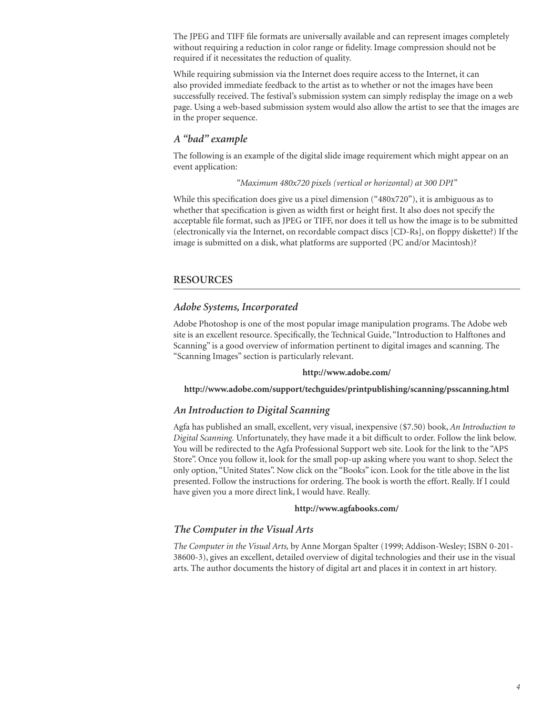The JPEG and TIFF file formats are universally available and can represent images completely without requiring a reduction in color range or fidelity. Image compression should not be required if it necessitates the reduction of quality.

While requiring submission via the Internet does require access to the Internet, it can also provided immediate feedback to the artist as to whether or not the images have been successfully received. The festival's submission system can simply redisplay the image on a web page. Using a web-based submission system would also allow the artist to see that the images are in the proper sequence.

# *A "bad" example*

The following is an example of the digital slide image requirement which might appear on an event application:

### *"Maximum 480x720 pixels (vertical or horizontal) at 300 DPI"*

While this specification does give us a pixel dimension ("480x720"), it is ambiguous as to whether that specification is given as width first or height first. It also does not specify the acceptable file format, such as JPEG or TIFF, nor does it tell us how the image is to be submitted (electronically via the Internet, on recordable compact discs [CD-Rs], on floppy diskette?) If the image is submitted on a disk, what platforms are supported (PC and/or Macintosh)?

## **RESOURCES**

## *Adobe Systems, Incorporated*

Adobe Photoshop is one of the most popular image manipulation programs. The Adobe web site is an excellent resource. Specifically, the Technical Guide, "Introduction to Halftones and Scanning" is a good overview of information pertinent to digital images and scanning. The "Scanning Images" section is particularly relevant.

#### **http://www.adobe.com/**

#### **http://www.adobe.com/support/techguides/printpublishing/scanning/psscanning.html**

## *An Introduction to Digital Scanning*

Agfa has published an small, excellent, very visual, inexpensive (\$7.50) book, *An Introduction to Digital Scanning.* Unfortunately, they have made it a bit difficult to order. Follow the link below. You will be redirected to the Agfa Professional Support web site. Look for the link to the "APS Store". Once you follow it, look for the small pop-up asking where you want to shop. Select the only option, "United States". Now click on the "Books" icon. Look for the title above in the list presented. Follow the instructions for ordering. The book is worth the effort. Really. If I could have given you a more direct link, I would have. Really.

#### **http://www.agfabooks.com/**

## *The Computer in the Visual Arts*

*The Computer in the Visual Arts,* by Anne Morgan Spalter (1999; Addison-Wesley; ISBN 0-201- 38600-3), gives an excellent, detailed overview of digital technologies and their use in the visual arts. The author documents the history of digital art and places it in context in art history.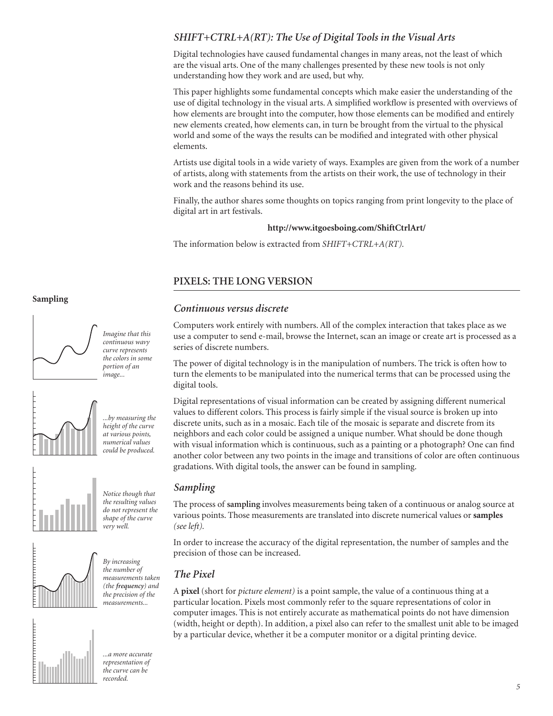# *SHIFT+CTRL+A(RT): The Use of Digital Tools in the Visual Arts*

Digital technologies have caused fundamental changes in many areas, not the least of which are the visual arts. One of the many challenges presented by these new tools is not only understanding how they work and are used, but why.

This paper highlights some fundamental concepts which make easier the understanding of the use of digital technology in the visual arts. A simplified workflow is presented with overviews of how elements are brought into the computer, how those elements can be modified and entirely new elements created, how elements can, in turn be brought from the virtual to the physical world and some of the ways the results can be modified and integrated with other physical elements.

Artists use digital tools in a wide variety of ways. Examples are given from the work of a number of artists, along with statements from the artists on their work, the use of technology in their work and the reasons behind its use.

Finally, the author shares some thoughts on topics ranging from print longevity to the place of digital art in art festivals.

## **http://www.itgoesboing.com/ShiftCtrlArt/**

The information below is extracted from *SHIFT+CTRL+A(RT).*

# **PIXELS: THE LONG VERSION**

# *Continuous versus discrete*

Computers work entirely with numbers. All of the complex interaction that takes place as we use a computer to send e-mail, browse the Internet, scan an image or create art is processed as a series of discrete numbers.

The power of digital technology is in the manipulation of numbers. The trick is often how to turn the elements to be manipulated into the numerical terms that can be processed using the digital tools.

Digital representations of visual information can be created by assigning different numerical values to different colors. This process is fairly simple if the visual source is broken up into discrete units, such as in a mosaic. Each tile of the mosaic is separate and discrete from its neighbors and each color could be assigned a unique number. What should be done though with visual information which is continuous, such as a painting or a photograph? One can find another color between any two points in the image and transitions of color are often continuous gradations. With digital tools, the answer can be found in sampling.

## *Sampling*

The process of **sampling** involves measurements being taken of a continuous or analog source at various points. Those measurements are translated into discrete numerical values or **samples**  *(see left).*

In order to increase the accuracy of the digital representation, the number of samples and the precision of those can be increased.

# *The Pixel*

A **pixel** (short for *picture element)* is a point sample, the value of a continuous thing at a particular location. Pixels most commonly refer to the square representations of color in computer images. This is not entirely accurate as mathematical points do not have dimension (width, height or depth). In addition, a pixel also can refer to the smallest unit able to be imaged by a particular device, whether it be a computer monitor or a digital printing device.

## **Sampling**



*Imagine that this continuous wavy curve represents the colors in some portion of an image...*





*very well.*



THEFTHEFT

*By increasing the number of measurements taken (the frequency) and the precision of the measurements...*

*...a more accurate representation of the curve can be recorded.*